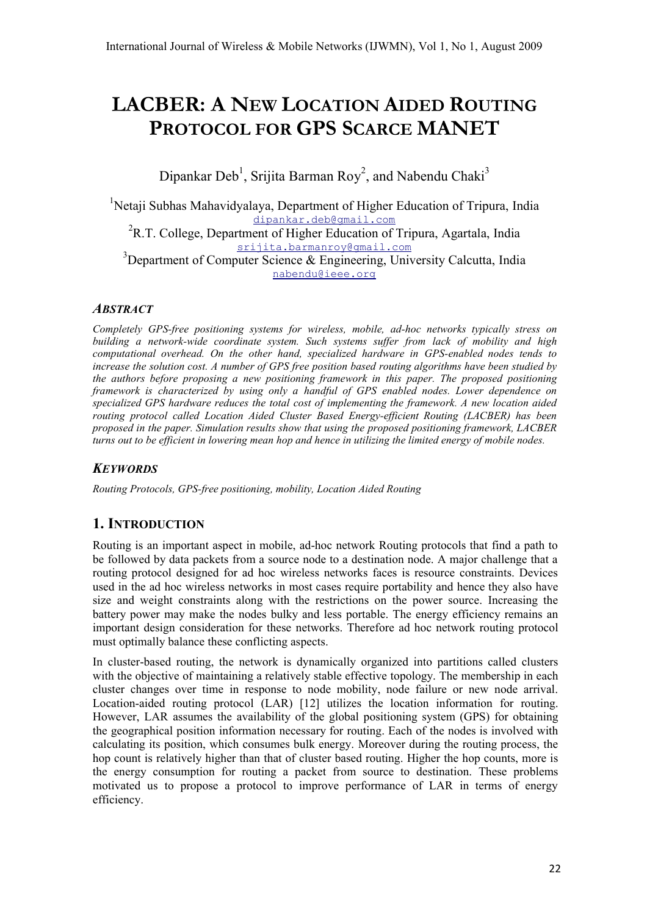# **LACBER: A NEW LOCATION AIDED ROUTING PROTOCOL FOR GPS SCARCE MANET**

Dipankar Deb<sup>1</sup>, Srijita Barman Roy<sup>2</sup>, and Nabendu Chaki<sup>3</sup>

<sup>1</sup>Netaji Subhas Mahavidyalaya, Department of Higher Education of Tripura, India [dipankar.deb@gmail.com](mailto:deb@gmail.com) <sup>2</sup>R.T. College, Department of Higher Education of Tripura, Agartala, India [srijita.barmanroy@gmail.com](mailto:barmanroy@gmail.com)  $3$ Department of Computer Science & Engineering, University Calcutta, India [nabendu@ieee.org](mailto:nabendu@ieee.org)

### *ABSTRACT*

*Completely GPS-free positioning systems for wireless, mobile, ad-hoc networks typically stress on building a network-wide coordinate system. Such systems suffer from lack of mobility and high computational overhead. On the other hand, specialized hardware in GPS-enabled nodes tends to increase the solution cost. A number of GPS free position based routing algorithms have been studied by the authors before proposing a new positioning framework in this paper. The proposed positioning framework is characterized by using only a handful of GPS enabled nodes. Lower dependence on specialized GPS hardware reduces the total cost of implementing the framework. A new location aided routing protocol called Location Aided Cluster Based Energy-efficient Routing (LACBER) has been proposed in the paper. Simulation results show that using the proposed positioning framework, LACBER* turns out to be efficient in lowering mean hop and hence in utilizing the limited energy of mobile nodes.

## *KEYWORDS*

*Routing Protocols, GPS-free positioning, mobility, Location Aided Routing*

## **1. INTRODUCTION**

Routing is an important aspect in mobile, ad-hoc network Routing protocols that find a path to be followed by data packets from a source node to a destination node. A major challenge that a routing protocol designed for ad hoc wireless networks faces is resource constraints. Devices used in the ad hoc wireless networks in most cases require portability and hence they also have size and weight constraints along with the restrictions on the power source. Increasing the battery power may make the nodes bulky and less portable. The energy efficiency remains an important design consideration for these networks. Therefore ad hoc network routing protocol must optimally balance these conflicting aspects.

In cluster-based routing, the network is dynamically organized into partitions called clusters with the objective of maintaining a relatively stable effective topology. The membership in each cluster changes over time in response to node mobility, node failure or new node arrival. Location-aided routing protocol (LAR) [12] utilizes the location information for routing. However, LAR assumes the availability of the global positioning system (GPS) for obtaining the geographical position information necessary for routing. Each of the nodes is involved with calculating its position, which consumes bulk energy. Moreover during the routing process, the hop count is relatively higher than that of cluster based routing. Higher the hop counts, more is the energy consumption for routing a packet from source to destination. These problems motivated us to propose a protocol to improve performance of LAR in terms of energy efficiency.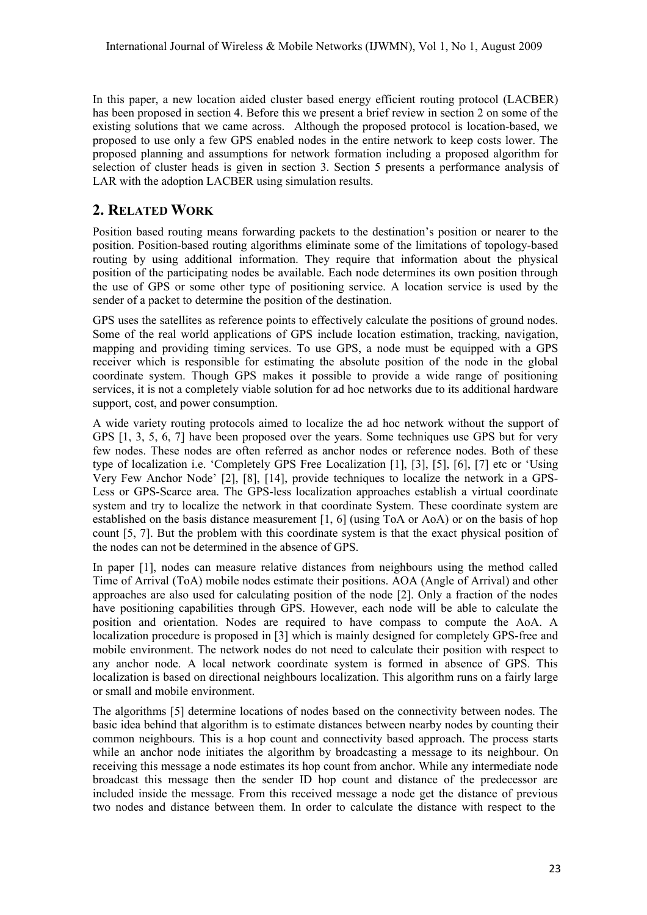In this paper, a new location aided cluster based energy efficient routing protocol (LACBER) has been proposed in section 4. Before this we present a brief review in section 2 on some of the existing solutions that we came across. Although the proposed protocol is location-based, we proposed to use only a few GPS enabled nodes in the entire network to keep costs lower. The proposed planning and assumptions for network formation including a proposed algorithm for selection of cluster heads is given in section 3. Section 5 presents a performance analysis of LAR with the adoption LACBER using simulation results.

## **2. RELATED WORK**

Position based routing means forwarding packets to the destination's position or nearer to the position. Position-based routing algorithms eliminate some of the limitations of topology-based routing by using additional information. They require that information about the physical position of the participating nodes be available. Each node determines its own position through the use of GPS or some other type of positioning service. A location service is used by the sender of a packet to determine the position of the destination.

GPS uses the satellites as reference points to effectively calculate the positions of ground nodes. Some of the real world applications of GPS include location estimation, tracking, navigation, mapping and providing timing services. To use GPS, a node must be equipped with a GPS receiver which is responsible for estimating the absolute position of the node in the global coordinate system. Though GPS makes it possible to provide a wide range of positioning services, it is not a completely viable solution for ad hoc networks due to its additional hardware support, cost, and power consumption.

A wide variety routing protocols aimed to localize the ad hoc network without the support of GPS [1, 3, 5, 6, 7] have been proposed over the years. Some techniques use GPS but for very few nodes. These nodes are often referred as anchor nodes or reference nodes. Both of these type of localization i.e. 'Completely GPS Free Localization [1], [3], [5], [6], [7] etc or 'Using Very Few Anchor Node' [2], [8], [14], provide techniques to localize the network in a GPS-Less or GPS-Scarce area. The GPS-less localization approaches establish a virtual coordinate system and try to localize the network in that coordinate System. These coordinate system are established on the basis distance measurement [1, 6] (using ToA or AoA) or on the basis of hop count [5, 7]. But the problem with this coordinate system is that the exact physical position of the nodes can not be determined in the absence of GPS.

In paper [1], nodes can measure relative distances from neighbours using the method called Time of Arrival (ToA) mobile nodes estimate their positions. AOA (Angle of Arrival) and other approaches are also used for calculating position of the node [2]. Only a fraction of the nodes have positioning capabilities through GPS. However, each node will be able to calculate the position and orientation. Nodes are required to have compass to compute the AoA. A localization procedure is proposed in [3] which is mainly designed for completely GPS-free and mobile environment. The network nodes do not need to calculate their position with respect to any anchor node. A local network coordinate system is formed in absence of GPS. This localization is based on directional neighbours localization. This algorithm runs on a fairly large or small and mobile environment.

The algorithms [5] determine locations of nodes based on the connectivity between nodes. The basic idea behind that algorithm is to estimate distances between nearby nodes by counting their common neighbours. This is a hop count and connectivity based approach. The process starts while an anchor node initiates the algorithm by broadcasting a message to its neighbour. On receiving this message a node estimates its hop count from anchor. While any intermediate node broadcast this message then the sender ID hop count and distance of the predecessor are included inside the message. From this received message a node get the distance of previous two nodes and distance between them. In order to calculate the distance with respect to the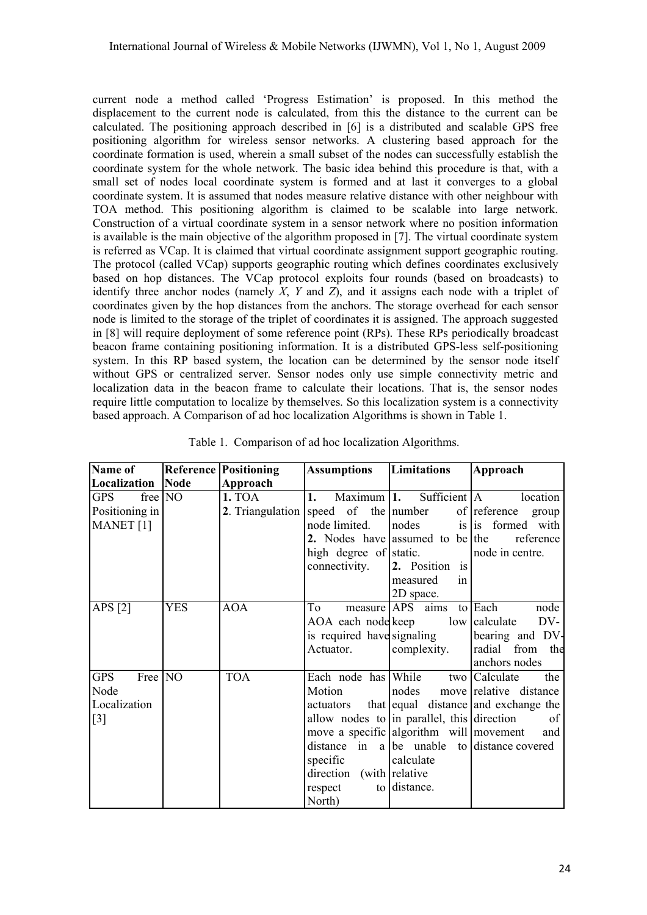current node a method called 'Progress Estimation' is proposed. In this method the displacement to the current node is calculated, from this the distance to the current can be calculated. The positioning approach described in [6] is a distributed and scalable GPS free positioning algorithm for wireless sensor networks. A clustering based approach for the coordinate formation is used, wherein a small subset of the nodes can successfully establish the coordinate system for the whole network. The basic idea behind this procedure is that, with a small set of nodes local coordinate system is formed and at last it converges to a global coordinate system. It is assumed that nodes measure relative distance with other neighbour with TOA method. This positioning algorithm is claimed to be scalable into large network. Construction of a virtual coordinate system in a sensor network where no position information is available is the main objective of the algorithm proposed in [7]. The virtual coordinate system is referred as VCap. It is claimed that virtual coordinate assignment support geographic routing. The protocol (called VCap) supports geographic routing which defines coordinates exclusively based on hop distances. The VCap protocol exploits four rounds (based on broadcasts) to identify three anchor nodes (namely *X*, *Y* and *Z*), and it assigns each node with a triplet of coordinates given by the hop distances from the anchors. The storage overhead for each sensor node is limited to the storage of the triplet of coordinates it is assigned. The approach suggested in [8] will require deployment of some reference point (RPs). These RPs periodically broadcast beacon frame containing positioning information. It is a distributed GPS-less self-positioning system. In this RP based system, the location can be determined by the sensor node itself without GPS or centralized server. Sensor nodes only use simple connectivity metric and localization data in the beacon frame to calculate their locations. That is, the sensor nodes require little computation to localize by themselves. So this localization system is a connectivity based approach. A Comparison of ad hoc localization Algorithms is shown in Table 1.

| <b>Name of</b>                                                        |            | <b>Reference Positioning</b> | <b>Assumptions</b>                                                                                                                                                                                                | Limitations                                                                | Approach                                                                                                                                               |
|-----------------------------------------------------------------------|------------|------------------------------|-------------------------------------------------------------------------------------------------------------------------------------------------------------------------------------------------------------------|----------------------------------------------------------------------------|--------------------------------------------------------------------------------------------------------------------------------------------------------|
| Localization                                                          | Node       | Approach                     |                                                                                                                                                                                                                   |                                                                            |                                                                                                                                                        |
| free $NO$<br>GPS<br>Positioning in<br>MANET $[1]$                     |            | <b>1. TOA</b>                | Maximum $\vert 1$ .<br>1.<br>2. Triangulation speed of the number<br>node limited.<br>2. Nodes have assumed to be the<br>high degree of static.<br>connectivity.                                                  | Sufficient $ A $<br>nodes<br>2. Position is<br>measured<br>in<br>2D space. | location<br>$of$ reference<br>group<br>is is formed with<br>reference  <br>node in centre.                                                             |
| APS $[2]$                                                             | <b>YES</b> | <b>AOA</b>                   | Tо<br>AOA each node keep<br>is required have signaling<br>Actuator.                                                                                                                                               | measure $APS$ aims to Each<br>complexity.                                  | node  <br>low calculate<br>$DV-$<br>bearing and DV-<br>radial from<br>the<br>anchors nodes                                                             |
| <b>GPS</b><br>Free $ NO$<br>Node<br>Localization<br>$\lceil 3 \rceil$ |            | <b>TOA</b>                   | Each node has While<br>Motion<br>actuators<br>allow nodes to $\vert$ in parallel, this $\vert$ direction<br>move a specific algorithm will movement<br>specific<br>direction (with relative)<br>respect<br>North) | nodes<br>calculate<br>to distance.                                         | two Calculate<br>the I<br>move relative distance<br>that equal distance and exchange the<br>of  <br>and<br>distance in a be unable to distance covered |

Table 1. Comparison of ad hoc localization Algorithms.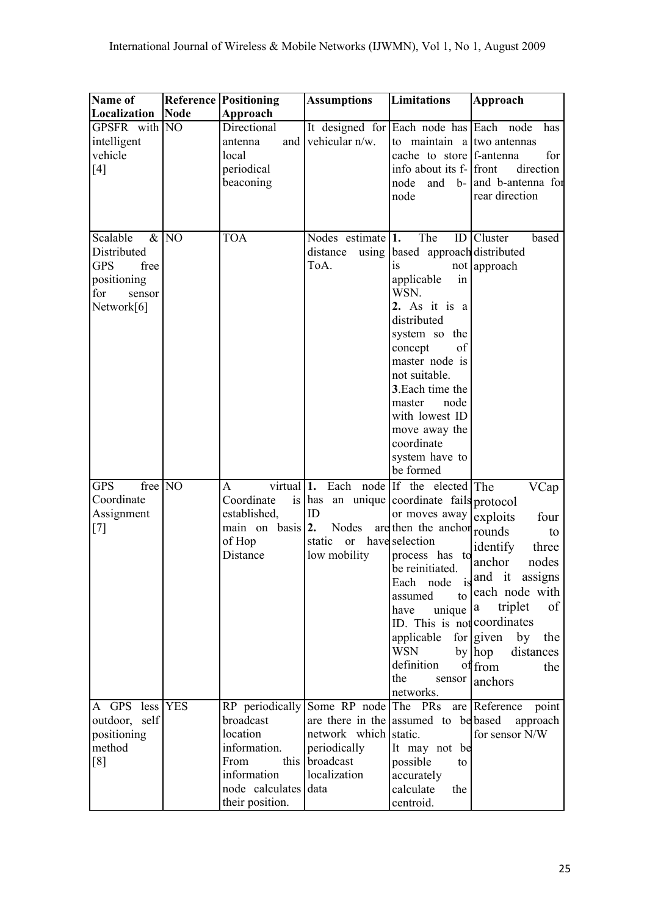| <b>Limitations</b><br>Name of<br><b>Reference   Positioning</b><br><b>Assumptions</b><br>Approach |           |
|---------------------------------------------------------------------------------------------------|-----------|
| Localization<br>Node<br>Approach                                                                  |           |
| GPSFR with NO<br>Directional<br>It designed for Each node has Each node                           | has       |
| vehicular n/w.<br>intelligent<br>to maintain a two antennas<br>antenna<br>and                     |           |
| vehicle<br>cache to store f-antenna<br>local                                                      | for       |
| info about its f- front<br>[4]<br>periodical                                                      | direction |
| beaconing<br>node<br>and b- and b-antenna for                                                     |           |
| rear direction<br>node                                                                            |           |
|                                                                                                   |           |
|                                                                                                   |           |
| The<br>Scalable<br>&N <sub>O</sub><br><b>TOA</b><br>Nodes estimate $ 1$ .<br>$ID$ Cluster         | based     |
| Distributed<br>using based approach distributed<br>distance                                       |           |
| <b>GPS</b><br>free<br>ToA.<br>not approach<br><i>is</i>                                           |           |
| applicable<br>positioning<br>in                                                                   |           |
| WSN.<br>for<br>sensor                                                                             |           |
| 2. As it is a<br>Network[6]                                                                       |           |
| distributed                                                                                       |           |
| system so the                                                                                     |           |
| concept<br>οf                                                                                     |           |
| master node is                                                                                    |           |
| not suitable.                                                                                     |           |
| 3. Each time the                                                                                  |           |
| master<br>node                                                                                    |           |
| with lowest ID                                                                                    |           |
| move away the                                                                                     |           |
| coordinate                                                                                        |           |
| system have to                                                                                    |           |
| be formed                                                                                         |           |
| free $N\overline{O}$<br>Each node If the elected The<br><b>GPS</b><br>virtual $ 1$ .<br>A         | VCap      |
| Coordinate<br>is has an unique coordinate fails protocol<br>Coordinate                            |           |
| ID<br>Assignment<br>established,<br>or moves away<br>exploits                                     | four      |
| main on basis $ 2$ .<br>Nodes<br>are then the anchor rounds<br>$[7]$                              | to        |
| of Hop<br>static<br>or have selection<br>identify                                                 | three     |
| Distance<br>low mobility<br>process has to<br>anchor                                              | nodes     |
| be reinitiated.<br>and it assigns                                                                 |           |
| Each<br>node<br>is<br>each node with                                                              |           |
| assumed<br>to<br>triplet<br>a                                                                     | of        |
| unique<br>have<br>ID. This is not coordinates                                                     |           |
| for $g$ iven by                                                                                   | the       |
| applicable<br><b>WSN</b>                                                                          |           |
| $by$   hop<br>definition                                                                          | distances |
| of from<br>the<br>sensor                                                                          | the       |
| anchors<br>networks.                                                                              |           |
| A GPS less YES<br>Some RP node The PRs<br>RP periodically<br>are Reference                        | point     |
| outdoor, self<br>broadcast<br>are there in the assumed to be based                                | approach  |
| location<br>network which static.<br>for sensor N/W<br>positioning                                |           |
| information.<br>periodically<br>method<br>It may not be                                           |           |
| this  <br>broadcast<br>[8]<br>From<br>possible<br>to                                              |           |
| information<br>localization<br>accurately                                                         |           |
| node calculates data<br>calculate<br>the                                                          |           |
| their position.<br>centroid.                                                                      |           |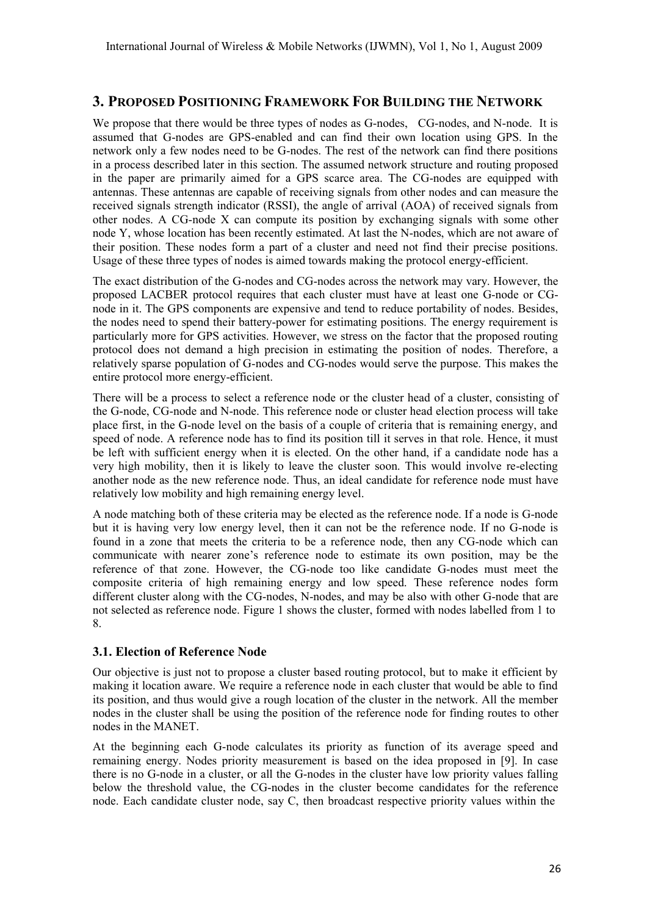## **3. PROPOSED POSITIONING FRAMEWORK FOR BUILDING THE NETWORK**

We propose that there would be three types of nodes as G-nodes, CG-nodes, and N-node. It is assumed that G-nodes are GPS-enabled and can find their own location using GPS. In the network only a few nodes need to be G-nodes. The rest of the network can find there positions in a process described later in this section. The assumed network structure and routing proposed in the paper are primarily aimed for a GPS scarce area. The CG-nodes are equipped with antennas. These antennas are capable of receiving signals from other nodes and can measure the received signals strength indicator (RSSI), the angle of arrival (AOA) of received signals from other nodes. A CG-node X can compute its position by exchanging signals with some other node Y, whose location has been recently estimated. At last the N-nodes, which are not aware of their position. These nodes form a part of a cluster and need not find their precise positions. Usage of these three types of nodes is aimed towards making the protocol energy-efficient.

The exact distribution of the G-nodes and CG-nodes across the network may vary. However, the proposed LACBER protocol requires that each cluster must have at least one G-node or CGnode in it. The GPS components are expensive and tend to reduce portability of nodes. Besides, the nodes need to spend their battery-power for estimating positions. The energy requirement is particularly more for GPS activities. However, we stress on the factor that the proposed routing protocol does not demand a high precision in estimating the position of nodes. Therefore, a relatively sparse population of G-nodes and CG-nodes would serve the purpose. This makes the entire protocol more energy-efficient.

There will be a process to select a reference node or the cluster head of a cluster, consisting of the G-node, CG-node and N-node. This reference node or cluster head election process will take place first, in the G-node level on the basis of a couple of criteria that is remaining energy, and speed of node. A reference node has to find its position till it serves in that role. Hence, it must be left with sufficient energy when it is elected. On the other hand, if a candidate node has a very high mobility, then it is likely to leave the cluster soon. This would involve re-electing another node as the new reference node. Thus, an ideal candidate for reference node must have relatively low mobility and high remaining energy level.

A node matching both of these criteria may be elected as the reference node. If a node is G-node but it is having very low energy level, then it can not be the reference node. If no G-node is found in a zone that meets the criteria to be a reference node, then any CG-node which can communicate with nearer zone's reference node to estimate its own position, may be the reference of that zone. However, the CG-node too like candidate G-nodes must meet the composite criteria of high remaining energy and low speed. These reference nodes form different cluster along with the CG-nodes, N-nodes, and may be also with other G-node that are not selected as reference node. Figure 1 shows the cluster, formed with nodes labelled from 1 to 8.

### **3.1. Election of Reference Node**

Our objective is just not to propose a cluster based routing protocol, but to make it efficient by making it location aware. We require a reference node in each cluster that would be able to find its position, and thus would give a rough location of the cluster in the network. All the member nodes in the cluster shall be using the position of the reference node for finding routes to other nodes in the MANET.

At the beginning each G-node calculates its priority as function of its average speed and remaining energy. Nodes priority measurement is based on the idea proposed in [9]. In case there is no G-node in a cluster, or all the G-nodes in the cluster have low priority values falling below the threshold value, the CG-nodes in the cluster become candidates for the reference node. Each candidate cluster node, say C, then broadcast respective priority values within the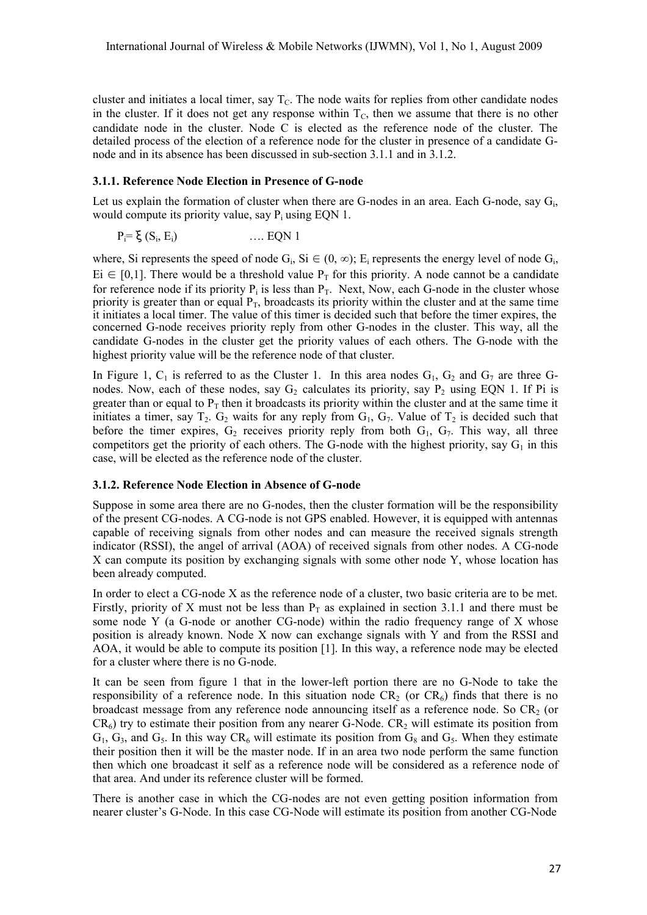cluster and initiates a local timer, say  $T<sub>C</sub>$ . The node waits for replies from other candidate nodes in the cluster. If it does not get any response within  $T<sub>C</sub>$ , then we assume that there is no other candidate node in the cluster. Node  $\overline{C}$  is elected as the reference node of the cluster. The detailed process of the election of a reference node for the cluster in presence of a candidate Gnode and in its absence has been discussed in sub-section 3.1.1 and in 3.1.2.

#### **3.1.1. Reference Node Election in Presence of G-node**

Let us explain the formation of cluster when there are G-nodes in an area. Each G-node, say  $G_i$ , would compute its priority value, say  $P_i$  using EQN 1.

$$
P_i = \xi (S_i, E_i) \qquad \qquad \dots \text{EQN 1}
$$

where, Si represents the speed of node  $G_i$ , Si  $\in (0, \infty)$ ; E<sub>i</sub> represents the energy level of node  $G_i$ ,  $E_i \in [0,1]$ . There would be a threshold value  $P_T$  for this priority. A node cannot be a candidate for reference node if its priority  $P_i$  is less than  $P_T$ . Next, Now, each G-node in the cluster whose priority is greater than or equal  $P_T$ , broadcasts its priority within the cluster and at the same time it initiates a local timer. The value of this timer is decided such that before the timer expires, the concerned G-node receives priority reply from other G-nodes in the cluster. This way, all the candidate G-nodes in the cluster get the priority values of each others. The G-node with the highest priority value will be the reference node of that cluster.

In Figure 1,  $C_1$  is referred to as the Cluster 1. In this area nodes  $G_1$ ,  $G_2$  and  $G_7$  are three Gnodes. Now, each of these nodes, say  $G<sub>2</sub>$  calculates its priority, say P<sub>2</sub> using EQN 1. If Pi is greater than or equal to  $P_T$  then it broadcasts its priority within the cluster and at the same time it initiates a timer, say  $T_2$ .  $G_2$  waits for any reply from  $G_1$ ,  $G_7$ . Value of  $T_2$  is decided such that before the timer expires,  $G_2$  receives priority reply from both  $G_1$ ,  $G_7$ . This way, all three competitors get the priority of each others. The G-node with the highest priority, say  $G_1$  in this case, will be elected as the reference node of the cluster.

#### **3.1.2. Reference Node Election in Absence of G-node**

Suppose in some area there are no G-nodes, then the cluster formation will be the responsibility of the present CG-nodes. A CG-node is not GPS enabled. However, it is equipped with antennas capable of receiving signals from other nodes and can measure the received signals strength indicator (RSSI), the angel of arrival (AOA) of received signals from other nodes. A CG-node X can compute its position by exchanging signals with some other node Y, whose location has been already computed.

In order to elect a CG-node X as the reference node of a cluster, two basic criteria are to be met. Firstly, priority of X must not be less than  $P_T$  as explained in section 3.1.1 and there must be some node Y (a G-node or another CG-node) within the radio frequency range of X whose position is already known. Node X now can exchange signals with Y and from the RSSI and AOA, it would be able to compute its position [1]. In this way, a reference node may be elected for a cluster where there is no G-node.

It can be seen from figure 1 that in the lower-left portion there are no G-Node to take the responsibility of a reference node. In this situation node  $CR_2$  (or  $CR_6$ ) finds that there is no broadcast message from any reference node announcing itself as a reference node. So  $CR_2$  (or  $CR<sub>6</sub>$ ) try to estimate their position from any nearer G-Node.  $CR<sub>2</sub>$  will estimate its position from  $G_1, G_3$  and  $G_5$ . In this way CR<sub>6</sub> will estimate its position from  $G_8$  and  $G_5$ . When they estimate their position then it will be the master node. If in an area two node perform the same function then which one broadcast it self as a reference node will be considered as a reference node of that area. And under its reference cluster will be formed.

There is another case in which the CG-nodes are not even getting position information from nearer cluster's G-Node. In this case CG-Node will estimate its position from another CG-Node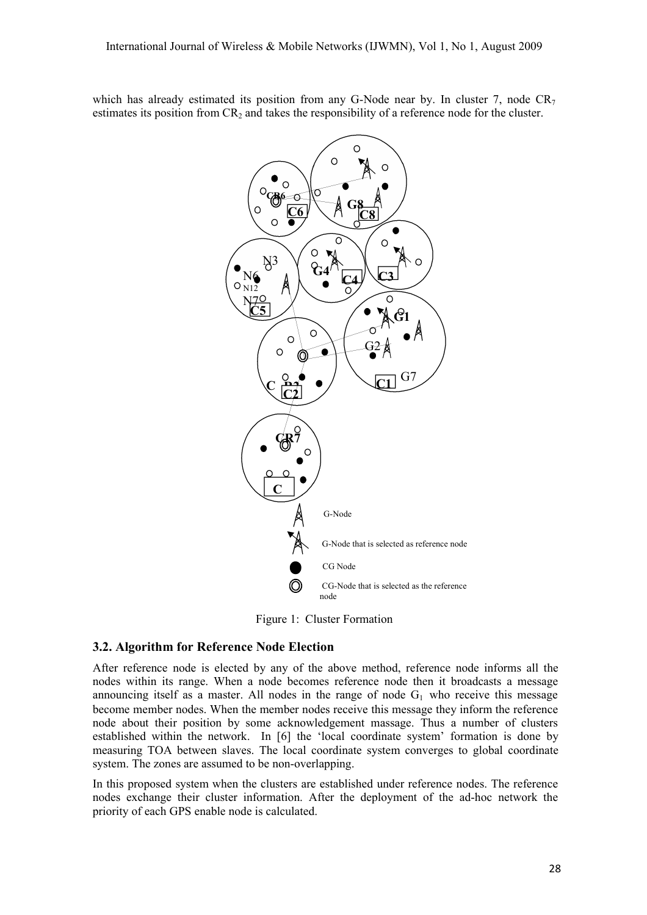which has already estimated its position from any G-Node near by. In cluster 7, node  $CR<sub>7</sub>$ estimates its position from  $CR_2$  and takes the responsibility of a reference node for the cluster.



Figure 1: Cluster Formation

### **3.2. Algorithm for Reference Node Election**

After reference node is elected by any of the above method, reference node informs all the nodes within its range. When a node becomes reference node then it broadcasts a message announcing itself as a master. All nodes in the range of node  $G_1$  who receive this message become member nodes. When the member nodes receive this message they inform the reference node about their position by some acknowledgement massage. Thus a number of clusters established within the network. In [6] the 'local coordinate system' formation is done by measuring TOA between slaves. The local coordinate system converges to global coordinate system. The zones are assumed to be non-overlapping.

In this proposed system when the clusters are established under reference nodes. The reference nodes exchange their cluster information. After the deployment of the ad-hoc network the priority of each GPS enable node is calculated.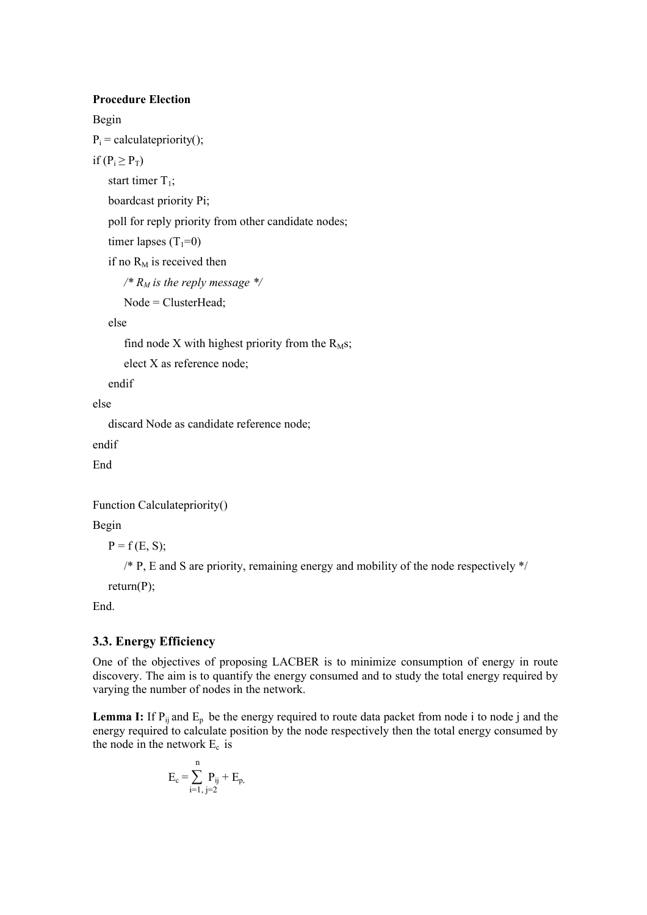#### **Procedure Election**

Begin

 $P_i$  = calculatepriority();

if  $(P_i \geq P_T)$ 

start timer  $T_1$ ;

boardcast priority Pi;

poll for reply priority from other candidate nodes;

timer lapses  $(T_1=0)$ 

if no  $R_M$  is received then

*/\* R<sup>M</sup> is the reply message \*/*

Node = ClusterHead;

else

find node X with highest priority from the  $R<sub>MS</sub>$ ;

elect X as reference node;

endif

else

discard Node as candidate reference node;

endif

End

Function Calculatepriority()

Begin

 $P = f(E, S);$ 

 $/*$  P, E and S are priority, remaining energy and mobility of the node respectively  $*/$ 

return(P);

End.

## **3.3. Energy Efficiency**

One of the objectives of proposing LACBER is to minimize consumption of energy in route discovery. The aim is to quantify the energy consumed and to study the total energy required by varying the number of nodes in the network.

**Lemma I:** If  $P_{ii}$  and  $E_p$  be the energy required to route data packet from node i to node j and the energy required to calculate position by the node respectively then the total energy consumed by the node in the network  $E_c$  is

$$
E_c = \sum_{i=1, j=2}^{n} P_{ij} + E_{p,}
$$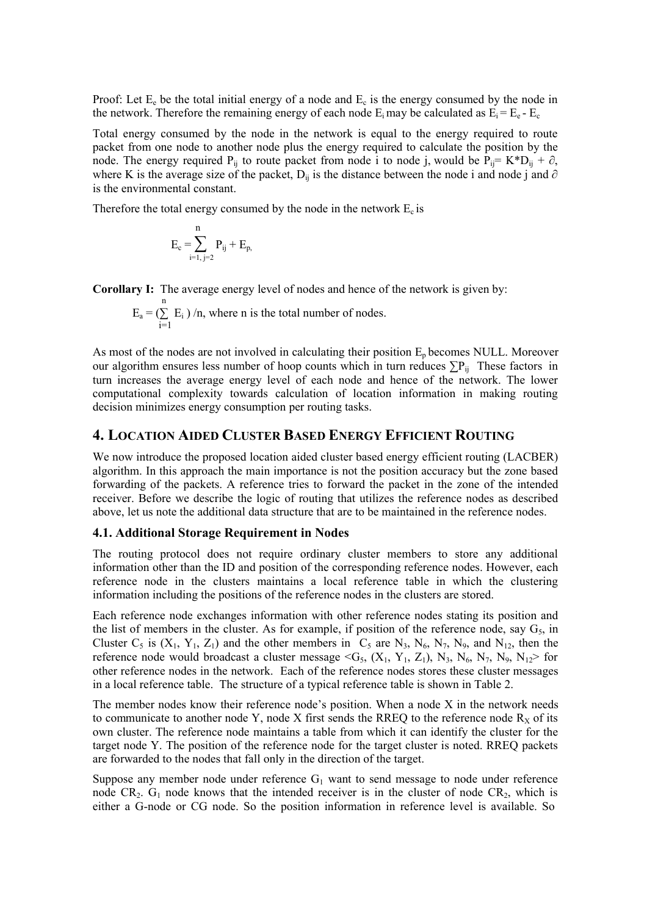Proof: Let  $E_e$  be the total initial energy of a node and  $E_c$  is the energy consumed by the node in the network. Therefore the remaining energy of each node  $E_i$  may be calculated as  $E_i = E_e - E_c$ 

Total energy consumed by the node in the network is equal to the energy required to route packet from one node to another node plus the energy required to calculate the position by the node. The energy required P<sub>ij</sub> to route packet from node i to node j, would be  $\hat{P}_{ii} = K^*D_{ii} + \partial$ , where K is the average size of the packet,  $D_{ij}$  is the distance between the node i and node j and  $\partial$ is the environmental constant.

Therefore the total energy consumed by the node in the network  $E_c$  is

$$
E_c=\!\!\sum_{i=1,\ j=2}^n P_{ij}+E_{p,}
$$

**Corollary I:** The average energy level of nodes and hence of the network is given by:

$$
E_a = (\sum_{i=1}^{n} E_i) / n
$$
, where n is the total number of nodes.

As most of the nodes are not involved in calculating their position  $E_p$  becomes NULL. Moreover our algorithm ensures less number of hoop counts which in turn reduces  $\sum P_{ij}$  These factors in turn increases the average energy level of each node and hence of the network. The lower computational complexity towards calculation of location information in making routing decision minimizes energy consumption per routing tasks.

### **4. LOCATION AIDED CLUSTER BASED ENERGY EFFICIENT ROUTING**

We now introduce the proposed location aided cluster based energy efficient routing (LACBER) algorithm. In this approach the main importance is not the position accuracy but the zone based forwarding of the packets. A reference tries to forward the packet in the zone of the intended receiver. Before we describe the logic of routing that utilizes the reference nodes as described above, let us note the additional data structure that are to be maintained in the reference nodes.

#### **4.1. Additional Storage Requirement in Nodes**

The routing protocol does not require ordinary cluster members to store any additional information other than the ID and position of the corresponding reference nodes. However, each reference node in the clusters maintains a local reference table in which the clustering information including the positions of the reference nodes in the clusters are stored.

Each reference node exchanges information with other reference nodes stating its position and the list of members in the cluster. As for example, if position of the reference node, say  $G_5$ , in Cluster C<sub>5</sub> is  $(X_1, Y_1, Z_1)$  and the other members in C<sub>5</sub> are N<sub>3</sub>, N<sub>6</sub>, N<sub>7</sub>, N<sub>9</sub>, and N<sub>12</sub>, then the reference node would broadcast a cluster message  $\leq G_5$ ,  $(X_1, Y_1, Z_1)$ ,  $N_3$ ,  $N_6$ ,  $N_7$ ,  $N_9$ ,  $N_{12}$  for other reference nodes in the network. Each of the reference nodes stores these cluster messages in a local reference table. The structure of a typical reference table is shown in Table 2.

The member nodes know their reference node's position. When a node X in the network needs to communicate to another node Y, node X first sends the RREQ to the reference node  $R_X$  of its own cluster. The reference node maintains a table from which it can identify the cluster for the target node Y. The position of the reference node for the target cluster is noted. RREQ packets are forwarded to the nodes that fall only in the direction of the target.

Suppose any member node under reference  $G_1$  want to send message to node under reference node  $CR_2$ .  $G_1$  node knows that the intended receiver is in the cluster of node  $CR_2$ , which is either a G-node or CG node. So the position information in reference level is available. So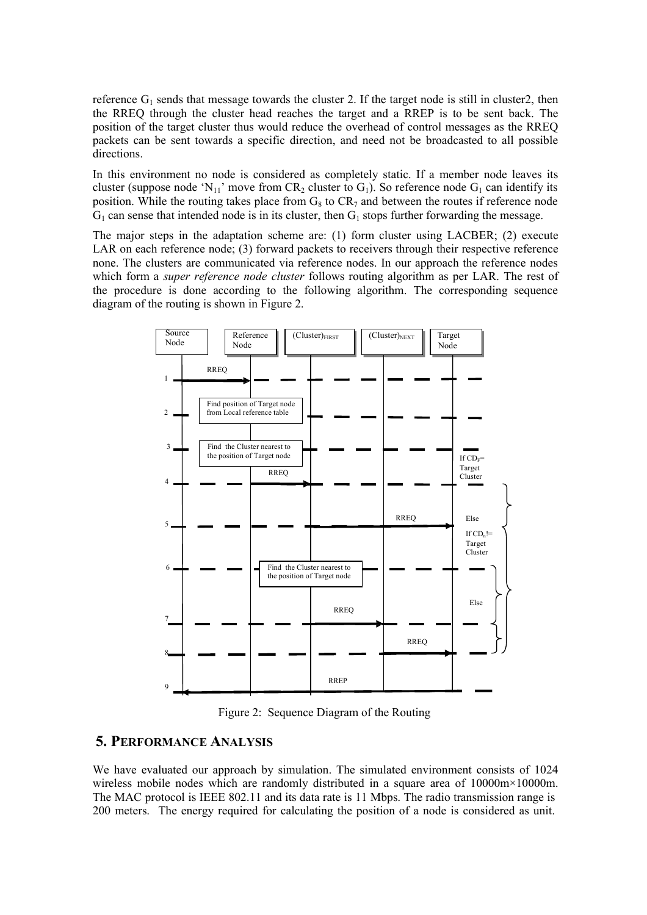reference  $G_1$  sends that message towards the cluster 2. If the target node is still in cluster2, then the RREQ through the cluster head reaches the target and a RREP is to be sent back. The position of the target cluster thus would reduce the overhead of control messages as the RREQ packets can be sent towards a specific direction, and need not be broadcasted to all possible directions.

In this environment no node is considered as completely static. If a member node leaves its cluster (suppose node 'N<sub>11</sub>' move from CR<sub>2</sub> cluster to G<sub>1</sub>). So reference node G<sub>1</sub> can identify its position. While the routing takes place from  $G_8$  to  $CR_7$  and between the routes if reference node  $G_1$  can sense that intended node is in its cluster, then  $G_1$  stops further forwarding the message.

The major steps in the adaptation scheme are: (1) form cluster using LACBER; (2) execute LAR on each reference node; (3) forward packets to receivers through their respective reference none. The clusters are communicated via reference nodes. In our approach the reference nodes which form a *super reference node cluster* follows routing algorithm as per LAR. The rest of the procedure is done according to the following algorithm. The corresponding sequence diagram of the routing is shown in Figure 2.



Figure 2: Sequence Diagram of the Routing

## **5. PERFORMANCE ANALYSIS**

We have evaluated our approach by simulation. The simulated environment consists of 1024 wireless mobile nodes which are randomly distributed in a square area of  $10000m \times 10000m$ . The MAC protocol is IEEE 802.11 and its data rate is 11 Mbps. The radio transmission range is 200 meters. The energy required for calculating the position of a node is considered as unit.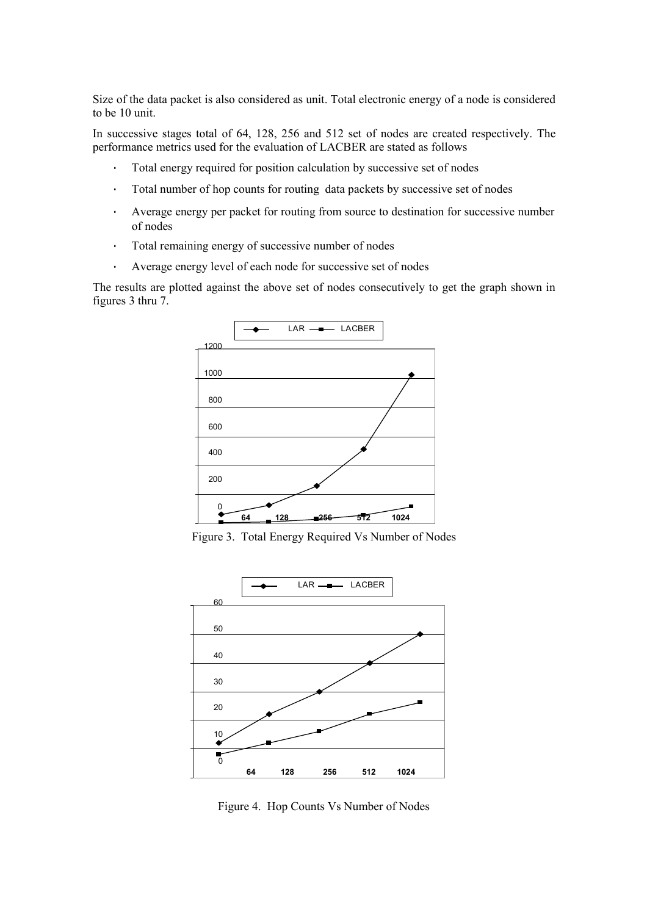Size of the data packet is also considered as unit. Total electronic energy of a node is considered to be 10 unit.

In successive stages total of 64, 128, 256 and 512 set of nodes are created respectively. The performance metrics used for the evaluation of LACBER are stated as follows

- Total energy required for position calculation by successive set of nodes
- Total number of hop counts for routing data packets by successive set of nodes
- Average energy per packet for routing from source to destination for successive number of nodes
- Total remaining energy of successive number of nodes
- Average energy level of each node for successive set of nodes

The results are plotted against the above set of nodes consecutively to get the graph shown in figures 3 thru 7.



Figure 3. Total Energy Required Vs Number of Nodes



Figure 4. Hop Counts Vs Number of Nodes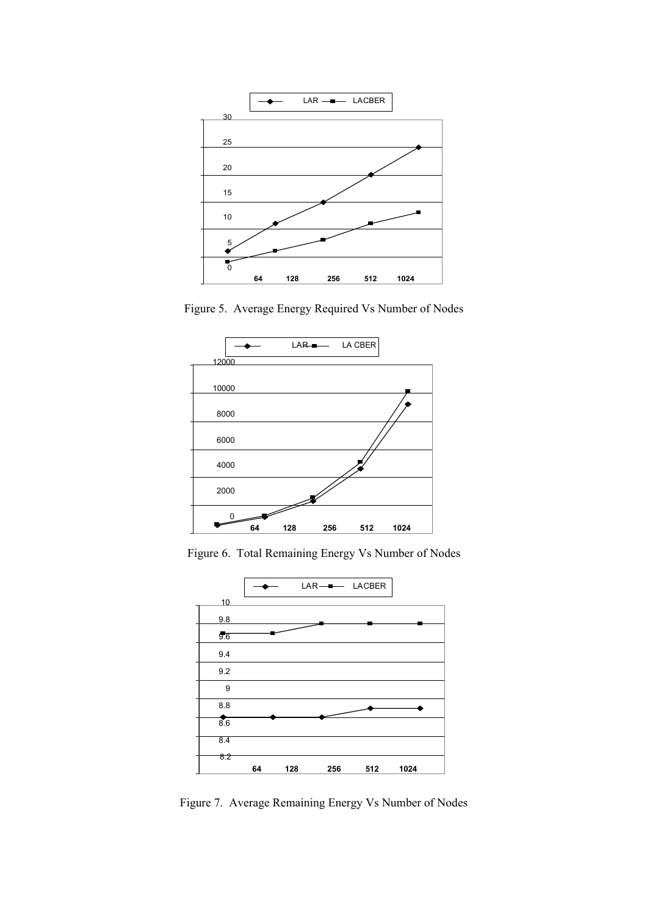

Figure 5. Average Energy Required Vs Number of Nodes



Figure 6. Total Remaining Energy Vs Number of Nodes



Figure 7. Average Remaining Energy Vs Number of Nodes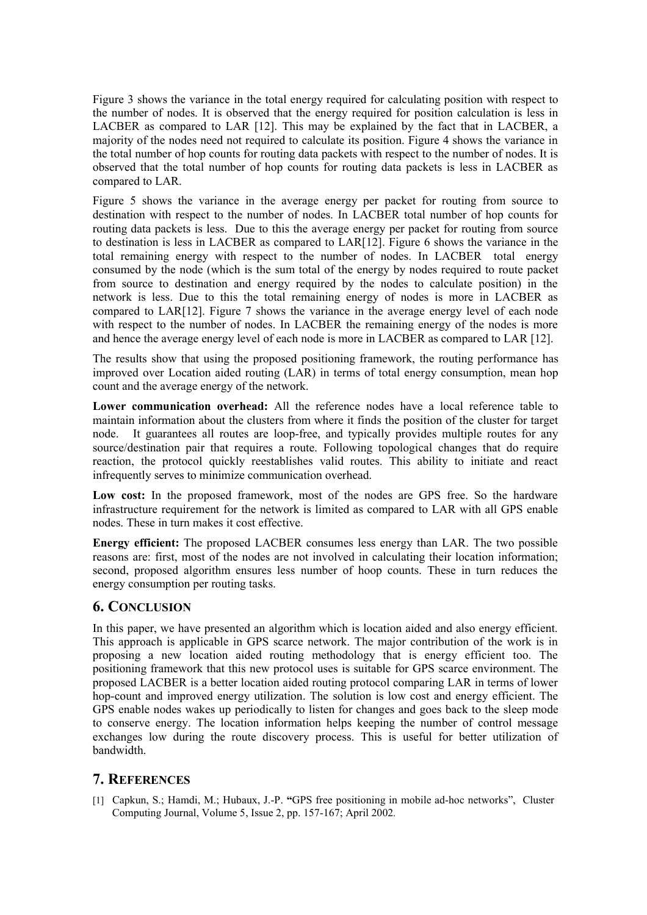Figure 3 shows the variance in the total energy required for calculating position with respect to the number of nodes. It is observed that the energy required for position calculation is less in LACBER as compared to LAR [12]. This may be explained by the fact that in LACBER, a majority of the nodes need not required to calculate its position. Figure 4 shows the variance in the total number of hop counts for routing data packets with respect to the number of nodes. It is observed that the total number of hop counts for routing data packets is less in LACBER as compared to LAR.

Figure 5 shows the variance in the average energy per packet for routing from source to destination with respect to the number of nodes. In LACBER total number of hop counts for routing data packets is less. Due to this the average energy per packet for routing from source to destination is less in LACBER as compared to LAR[12]. Figure 6 shows the variance in the total remaining energy with respect to the number of nodes. In LACBER total energy consumed by the node (which is the sum total of the energy by nodes required to route packet from source to destination and energy required by the nodes to calculate position) in the network is less. Due to this the total remaining energy of nodes is more in LACBER as compared to LAR[12]. Figure 7 shows the variance in the average energy level of each node with respect to the number of nodes. In LACBER the remaining energy of the nodes is more and hence the average energy level of each node is more in LACBER as compared to LAR [12].

The results show that using the proposed positioning framework, the routing performance has improved over Location aided routing (LAR) in terms of total energy consumption, mean hop count and the average energy of the network.

**Lower communication overhead:** All the reference nodes have a local reference table to maintain information about the clusters from where it finds the position of the cluster for target node. It guarantees all routes are loop-free, and typically provides multiple routes for any source/destination pair that requires a route. Following topological changes that do require reaction, the protocol quickly reestablishes valid routes. This ability to initiate and react infrequently serves to minimize communication overhead.

**Low cost:** In the proposed framework, most of the nodes are GPS free. So the hardware infrastructure requirement for the network is limited as compared to LAR with all GPS enable nodes. These in turn makes it cost effective.

**Energy efficient:** The proposed LACBER consumes less energy than LAR. The two possible reasons are: first, most of the nodes are not involved in calculating their location information; second, proposed algorithm ensures less number of hoop counts. These in turn reduces the energy consumption per routing tasks.

## **6. CONCLUSION**

In this paper, we have presented an algorithm which is location aided and also energy efficient. This approach is applicable in GPS scarce network. The major contribution of the work is in proposing a new location aided routing methodology that is energy efficient too. The positioning framework that this new protocol uses is suitable for GPS scarce environment. The proposed LACBER is a better location aided routing protocol comparing LAR in terms of lower hop-count and improved energy utilization. The solution is low cost and energy efficient. The GPS enable nodes wakes up periodically to listen for changes and goes back to the sleep mode to conserve energy. The location information helps keeping the number of control message exchanges low during the route discovery process. This is useful for better utilization of bandwidth.

## **7. REFERENCES**

[1] Capkun, S.; Hamdi, M.; Hubaux, J.-P. **"**GPS free positioning in mobile ad-hoc networks", Cluster Computing Journal, Volume 5, Issue 2, pp. 157-167; April 2002*.*